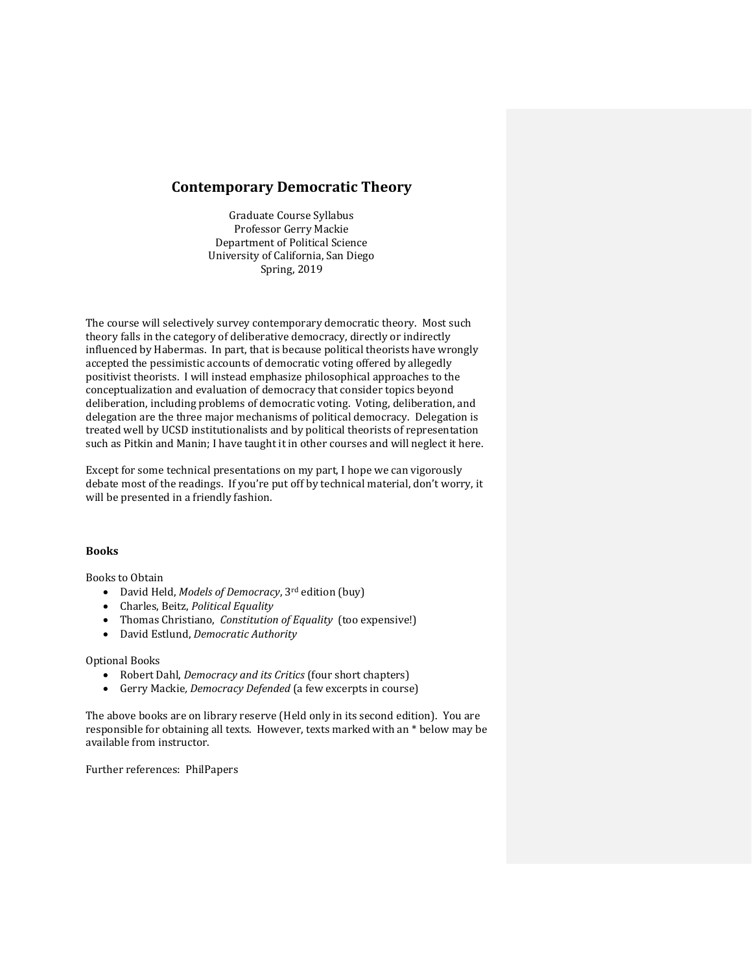## **Contemporary Democratic Theory**

Graduate Course Syllabus Professor Gerry Mackie Department of Political Science University of California, San Diego Spring, 2019

The course will selectively survey contemporary democratic theory. Most such theory falls in the category of deliberative democracy, directly or indirectly influenced by Habermas. In part, that is because political theorists have wrongly accepted the pessimistic accounts of democratic voting offered by allegedly positivist theorists. I will instead emphasize philosophical approaches to the conceptualization and evaluation of democracy that consider topics beyond deliberation, including problems of democratic voting. Voting, deliberation, and delegation are the three major mechanisms of political democracy. Delegation is treated well by UCSD institutionalists and by political theorists of representation such as Pitkin and Manin; I have taught it in other courses and will neglect it here.

Except for some technical presentations on my part, I hope we can vigorously debate most of the readings. If you're put off by technical material, don't worry, it will be presented in a friendly fashion.

## **Books**

Books to Obtain

- David Held, *Models of Democracy*, 3rd edition (buy)
- Charles, Beitz, *Political Equality*
- Thomas Christiano, *Constitution of Equality* (too expensive!)
- David Estlund, *Democratic Authority*

## Optional Books

- Robert Dahl, *Democracy and its Critics* (four short chapters)
- Gerry Mackie*, Democracy Defended* (a few excerpts in course)

The above books are on library reserve (Held only in its second edition). You are responsible for obtaining all texts. However, texts marked with an \* below may be available from instructor.

Further references: PhilPapers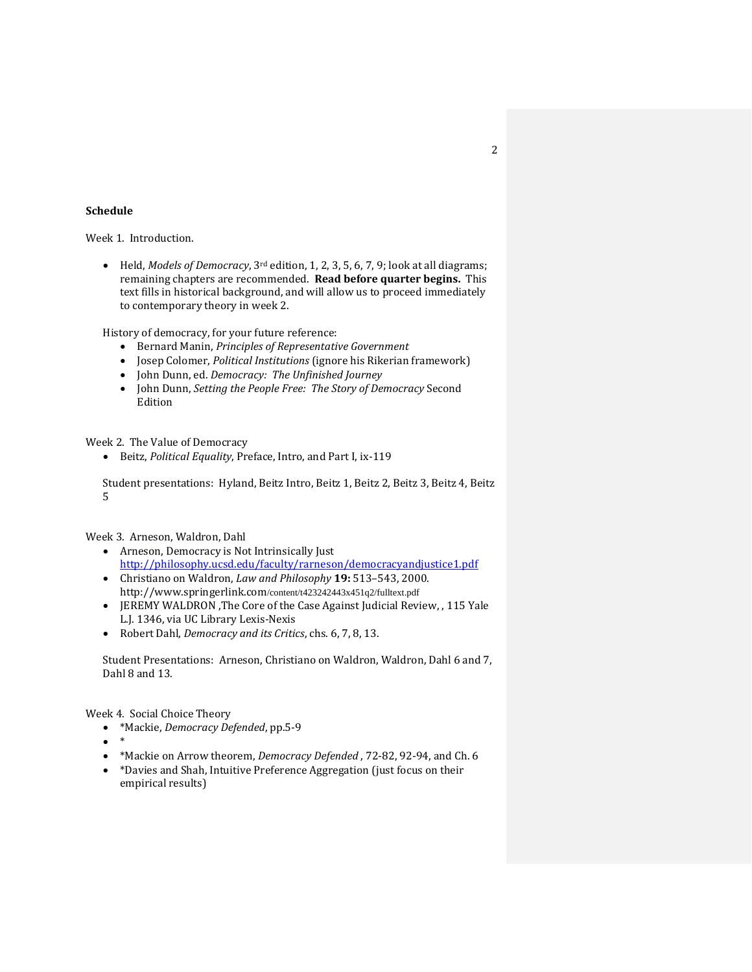## **Schedule**

Week 1. Introduction.

• Held, *Models of Democracy*, 3rd edition, 1, 2, 3, 5, 6, 7, 9; look at all diagrams; remaining chapters are recommended. **Read before quarter begins.** This text fills in historical background, and will allow us to proceed immediately to contemporary theory in week 2.

History of democracy, for your future reference:

- Bernard Manin, *Principles of Representative Government*
- Josep Colomer, *Political Institutions* (ignore his Rikerian framework)
- John Dunn, ed. *Democracy: The Unfinished Journey*
- John Dunn, *Setting the People Free: The Story of Democracy* Second Edition

Week 2. The Value of Democracy

• Beitz, *Political Equality*, Preface, Intro, and Part I, ix-119

Student presentations: Hyland, Beitz Intro, Beitz 1, Beitz 2, Beitz 3, Beitz 4, Beitz 5

Week 3. Arneson, Waldron, Dahl

- Arneson, Democracy is Not Intrinsically Just <http://philosophy.ucsd.edu/faculty/rarneson/democracyandjustice1.pdf>
- Christiano on Waldron, *Law and Philosophy* **19:** 513–543, 2000. http://www.springerlink.com/content/t423242443x451q2/fulltext.pdf
- JEREMY WALDRON ,The Core of the Case Against Judicial Review, , 115 Yale L.J. 1346, via UC Library Lexis-Nexis
- Robert Dahl, *Democracy and its Critics*, chs. 6, 7, 8, 13.

Student Presentations: Arneson, Christiano on Waldron, Waldron, Dahl 6 and 7, Dahl 8 and 13.

Week 4. Social Choice Theory

- \*Mackie, *Democracy Defended*, pp.5-9
- \*
- \*Mackie on Arrow theorem, *Democracy Defended* , 72-82, 92-94, and Ch. 6
- \*Davies and Shah, Intuitive Preference Aggregation (just focus on their empirical results)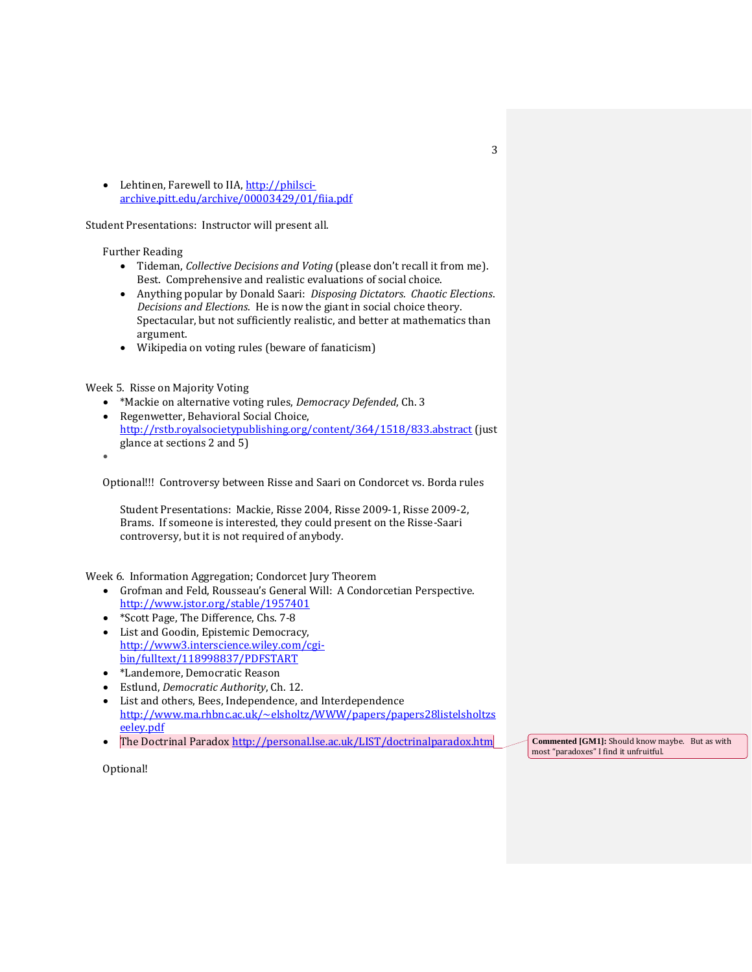• Lehtinen, Farewell to IIA, [http://philsci](http://philsci-archive.pitt.edu/archive/00003429/01/fiia.pdf)[archive.pitt.edu/archive/00003429/01/fiia.pdf](http://philsci-archive.pitt.edu/archive/00003429/01/fiia.pdf) 

Student Presentations: Instructor will present all.

Further Reading

- Tideman, *Collective Decisions and Voting* (please don't recall it from me). Best. Comprehensive and realistic evaluations of social choice.
- Anything popular by Donald Saari: *Disposing Dictators. Chaotic Elections*. *Decisions and Elections*. He is now the giant in social choice theory. Spectacular, but not sufficiently realistic, and better at mathematics than argument.
- Wikipedia on voting rules (beware of fanaticism)

Week 5. Risse on Majority Voting

- \*Mackie on alternative voting rules, *Democracy Defended*, Ch. 3
- Regenwetter, Behavioral Social Choice, <http://rstb.royalsocietypublishing.org/content/364/1518/833.abstract> (just glance at sections 2 and 5)
- •

Optional!!! Controversy between Risse and Saari on Condorcet vs. Borda rules

Student Presentations: Mackie, Risse 2004, Risse 2009-1, Risse 2009-2, Brams. If someone is interested, they could present on the Risse-Saari controversy, but it is not required of anybody.

Week 6. Information Aggregation; Condorcet Jury Theorem

- Grofman and Feld, Rousseau's General Will: A Condorcetian Perspective. <http://www.jstor.org/stable/1957401>
- \*Scott Page, The Difference, Chs. 7-8
- List and Goodin, Epistemic Democracy, [http://www3.interscience.wiley.com/cgi](http://www3.interscience.wiley.com/cgi-bin/fulltext/118998837/PDFSTART)[bin/fulltext/118998837/PDFSTART](http://www3.interscience.wiley.com/cgi-bin/fulltext/118998837/PDFSTART)
- \*Landemore, Democratic Reason
- Estlund, *Democratic Authority*, Ch. 12.
- List and others, Bees, Independence, and Interdependence [http://www.ma.rhbnc.ac.uk/~elsholtz/WWW/papers/papers28listelsholtzs](http://www.ma.rhbnc.ac.uk/~elsholtz/WWW/papers/papers28listelsholtzseeley.pdf) [eeley.pdf](http://www.ma.rhbnc.ac.uk/~elsholtz/WWW/papers/papers28listelsholtzseeley.pdf)
- The Doctrinal Parado[x http://personal.lse.ac.uk/LIST/doctrinalparadox.htm](http://personal.lse.ac.uk/LIST/doctrinalparadox.htm)

**Commented [GM1]:** Should know maybe. But as with most "paradoxes" I find it unfruitful.

Optional!

3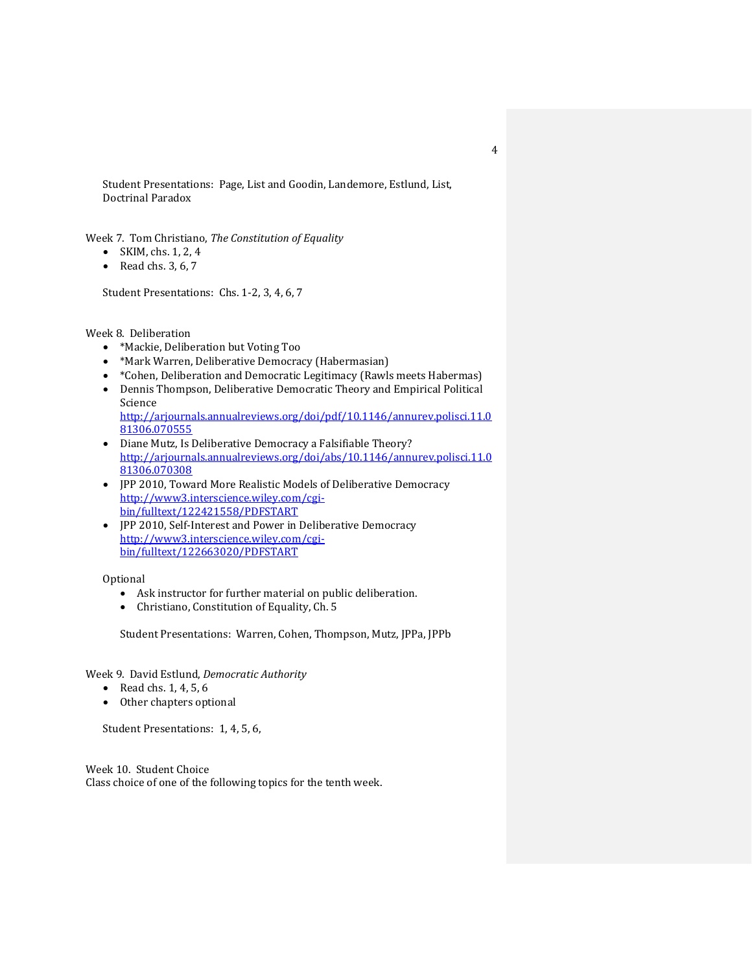Student Presentations: Page, List and Goodin, Landemore, Estlund, List, Doctrinal Paradox

Week 7. Tom Christiano, *The Constitution of Equality*

- SKIM, chs.  $1, 2, 4$
- Read chs.  $3, 6, 7$

Student Presentations: Chs. 1-2, 3, 4, 6, 7

Week 8. Deliberation

- \*Mackie, Deliberation but Voting Too
- \*Mark Warren, Deliberative Democracy (Habermasian)
- \*Cohen, Deliberation and Democratic Legitimacy (Rawls meets Habermas)
- Dennis Thompson, Deliberative Democratic Theory and Empirical Political Science [http://arjournals.annualreviews.org/doi/pdf/10.1146/annurev.polisci.11.0](http://arjournals.annualreviews.org/doi/pdf/10.1146/annurev.polisci.11.081306.070555) [81306.070555](http://arjournals.annualreviews.org/doi/pdf/10.1146/annurev.polisci.11.081306.070555)
- Diane Mutz, Is Deliberative Democracy a Falsifiable Theory? [http://arjournals.annualreviews.org/doi/abs/10.1146/annurev.polisci.11.0](http://arjournals.annualreviews.org/doi/abs/10.1146/annurev.polisci.11.081306.070308) [81306.070308](http://arjournals.annualreviews.org/doi/abs/10.1146/annurev.polisci.11.081306.070308)
- JPP 2010, Toward More Realistic Models of Deliberative Democracy [http://www3.interscience.wiley.com/cgi](http://www3.interscience.wiley.com/cgi-bin/fulltext/122421558/PDFSTART)[bin/fulltext/122421558/PDFSTART](http://www3.interscience.wiley.com/cgi-bin/fulltext/122421558/PDFSTART)
- JPP 2010, Self-Interest and Power in Deliberative Democracy [http://www3.interscience.wiley.com/cgi](http://www3.interscience.wiley.com/cgi-bin/fulltext/122663020/PDFSTART)[bin/fulltext/122663020/PDFSTART](http://www3.interscience.wiley.com/cgi-bin/fulltext/122663020/PDFSTART)

Optional

- Ask instructor for further material on public deliberation.
- Christiano, Constitution of Equality, Ch. 5

Student Presentations: Warren, Cohen, Thompson, Mutz, JPPa, JPPb

Week 9. David Estlund, *Democratic Authority*

- Read chs. 1, 4, 5, 6
- Other chapters optional

Student Presentations: 1, 4, 5, 6,

Week 10. Student Choice Class choice of one of the following topics for the tenth week.